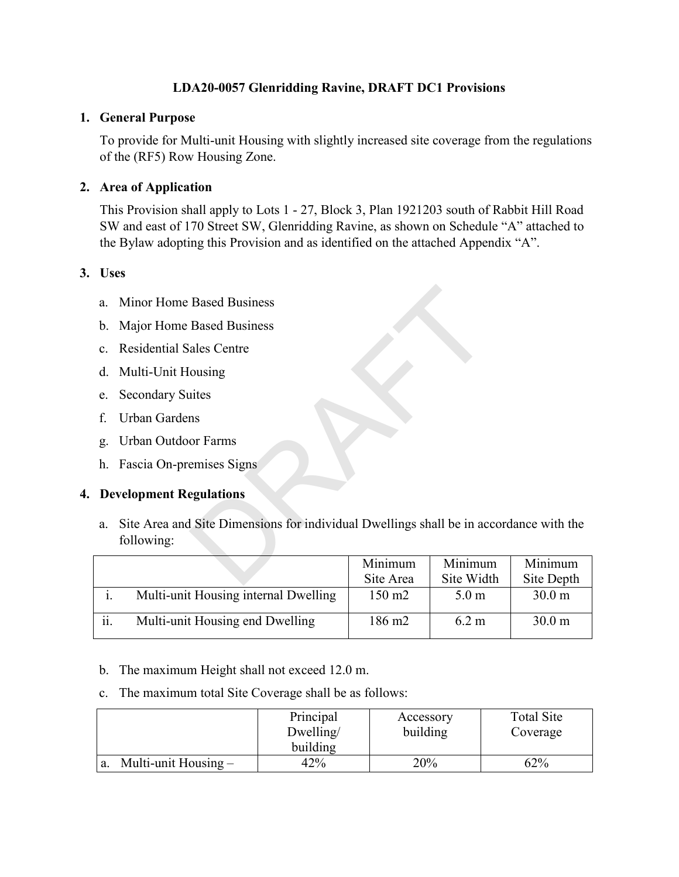# **LDA20-0057 Glenridding Ravine, DRAFT DC1 Provisions**

### **1. General Purpose**

To provide for Multi-unit Housing with slightly increased site coverage from the regulations of the (RF5) Row Housing Zone.

## **2. Area of Application**

This Provision shall apply to Lots 1 - 27, Block 3, Plan 1921203 south of Rabbit Hill Road SW and east of 170 Street SW, Glenridding Ravine, as shown on Schedule "A" attached to the Bylaw adopting this Provision and as identified on the attached Appendix "A".

## **3. Uses**

- a. Minor Home Based Business
- b. Major Home Based Business
- c. Residential Sales Centre
- d. Multi-Unit Housing
- e. Secondary Suites
- f. Urban Gardens
- g. Urban Outdoor Farms
- h. Fascia On-premises Signs

## **4. Development Regulations**

a. Site Area and Site Dimensions for individual Dwellings shall be in accordance with the following: Based Business<br>
Based Business<br>
ales Centre<br>
ousing<br>
ittes<br>
ns<br>
or Farms<br>
emises Signs<br>
egulations<br>
I Site Dimensions for individual Dwellings shall be in actional Site Dimensions<br>
Minimum Site Area Site Widt

|     |                                      | Minimum            | Minimum          | Minimum           |
|-----|--------------------------------------|--------------------|------------------|-------------------|
|     |                                      | Site Area          | Site Width       | Site Depth        |
|     | Multi-unit Housing internal Dwelling | $150 \text{ m}$    | 5.0 <sub>m</sub> | 30.0 <sub>m</sub> |
| ii. | Multi-unit Housing end Dwelling      | 186 m <sub>2</sub> | 6.2 m            | 30.0 <sub>m</sub> |

b. The maximum Height shall not exceed 12.0 m.

c. The maximum total Site Coverage shall be as follows:

|                      | Principal<br>Dwelling/ | Accessory<br>building | Total Site<br>Coverage |
|----------------------|------------------------|-----------------------|------------------------|
|                      | building               |                       |                        |
| Multi-unit Housing – | 42%                    | 20%                   | 62%                    |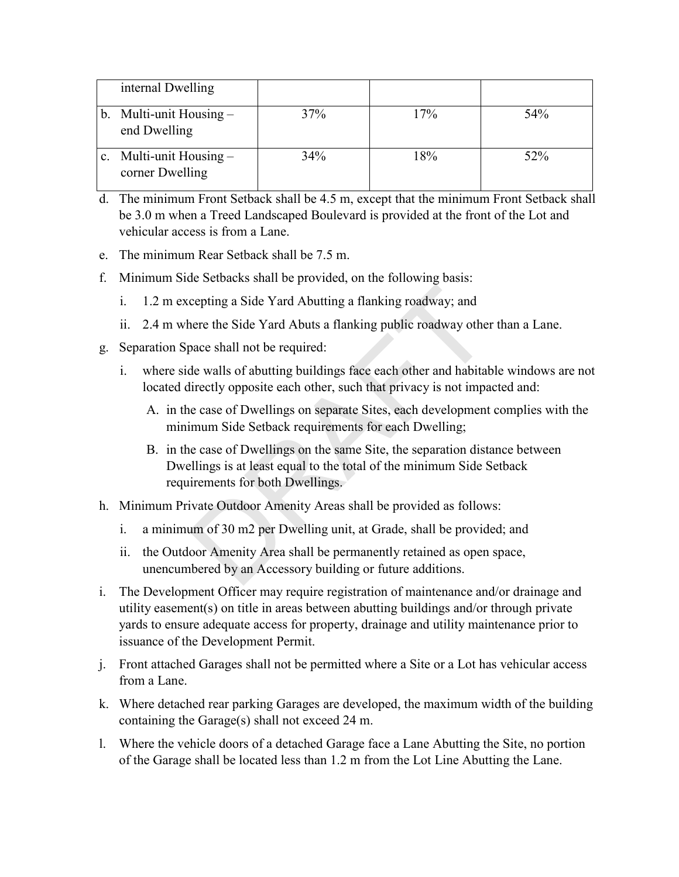| internal Dwelling                            |     |     |     |
|----------------------------------------------|-----|-----|-----|
| b. Multi-unit Housing $-$<br>end Dwelling    | 37% | 17% | 54% |
| c. Multi-unit Housing $-$<br>corner Dwelling | 34% | 18% | 52% |

- d. The minimum Front Setback shall be 4.5 m, except that the minimum Front Setback shall be 3.0 m when a Treed Landscaped Boulevard is provided at the front of the Lot and vehicular access is from a Lane.
- e. The minimum Rear Setback shall be 7.5 m.
- f. Minimum Side Setbacks shall be provided, on the following basis:
	- i. 1.2 m excepting a Side Yard Abutting a flanking roadway; and
	- ii. 2.4 m where the Side Yard Abuts a flanking public roadway other than a Lane.
- g. Separation Space shall not be required:
	- i. where side walls of abutting buildings face each other and habitable windows are not located directly opposite each other, such that privacy is not impacted and:
		- A. in the case of Dwellings on separate Sites, each development complies with the minimum Side Setback requirements for each Dwelling;
- B. in the case of Dwellings on the same Site, the separation distance between Dwellings is at least equal to the total of the minimum Side Setback requirements for both Dwellings. cepting a Side Yard Abutting a flanking roadway; and<br>nere the Side Yard Abutts a flanking public roadway other<br>pace shall not be required:<br>de walls of abutting buildings face each other and habitat<br>lirectly opposite each o
- h. Minimum Private Outdoor Amenity Areas shall be provided as follows:
	- i. a minimum of 30 m2 per Dwelling unit, at Grade, shall be provided; and
	- ii. the Outdoor Amenity Area shall be permanently retained as open space, unencumbered by an Accessory building or future additions.
- i. The Development Officer may require registration of maintenance and/or drainage and utility easement(s) on title in areas between abutting buildings and/or through private yards to ensure adequate access for property, drainage and utility maintenance prior to issuance of the Development Permit.
- j. Front attached Garages shall not be permitted where a Site or a Lot has vehicular access from a Lane.
- k. Where detached rear parking Garages are developed, the maximum width of the building containing the Garage(s) shall not exceed 24 m.
- l. Where the vehicle doors of a detached Garage face a Lane Abutting the Site, no portion of the Garage shall be located less than 1.2 m from the Lot Line Abutting the Lane.